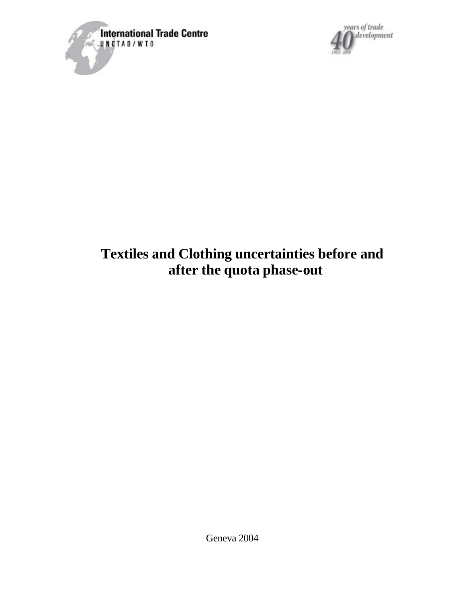



# **Textiles and Clothing uncertainties before and after the quota phase-out**

Geneva 2004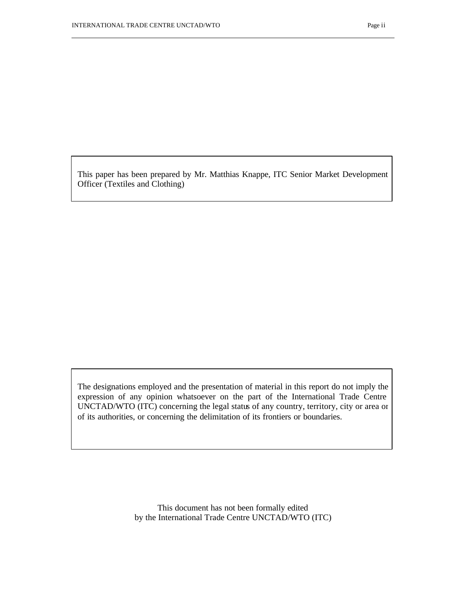This paper has been prepared by Mr. Matthias Knappe, ITC Senior Market Development Officer (Textiles and Clothing)

The designations employed and the presentation of material in this report do not imply the expression of any opinion whatsoever on the part of the International Trade Centre UNCTAD/WTO (ITC) concerning the legal status of any country, territory, city or area or of its authorities, or concerning the delimitation of its frontiers or boundaries.

> This document has not been formally edited by the International Trade Centre UNCTAD/WTO (ITC)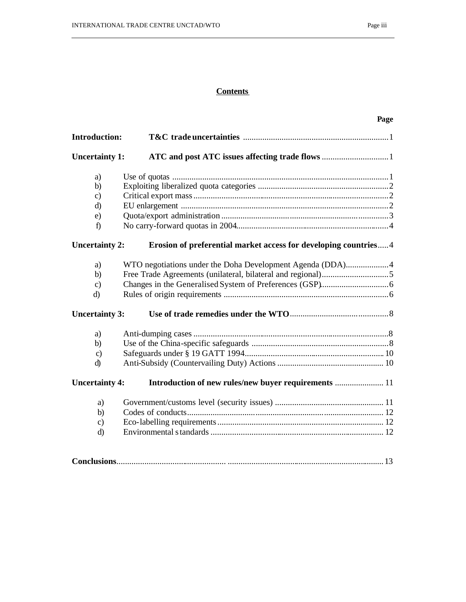# **Contents**

|                       | Page                                                            |
|-----------------------|-----------------------------------------------------------------|
| <b>Introduction:</b>  |                                                                 |
| <b>Uncertainty 1:</b> |                                                                 |
| a)                    |                                                                 |
| b)                    |                                                                 |
| $\mathbf{c}$          |                                                                 |
| d)                    |                                                                 |
| e)                    |                                                                 |
| f                     |                                                                 |
| <b>Uncertainty 2:</b> | Erosion of preferential market access for developing countries4 |
| a)                    | WTO negotiations under the Doha Development Agenda (DDA)4       |
| b)                    |                                                                 |
| $\mathbf{c}$          |                                                                 |
| d)                    |                                                                 |
| <b>Uncertainty 3:</b> |                                                                 |
| a)                    |                                                                 |
| b)                    |                                                                 |
| $\mathbf{c}$          |                                                                 |
| d)                    |                                                                 |
| <b>Uncertainty 4:</b> | Introduction of new rules/new buyer requirements  11            |
| a)                    |                                                                 |
| b)                    |                                                                 |
| $\mathbf{c}$          |                                                                 |
| $\mathbf{d}$          |                                                                 |
|                       |                                                                 |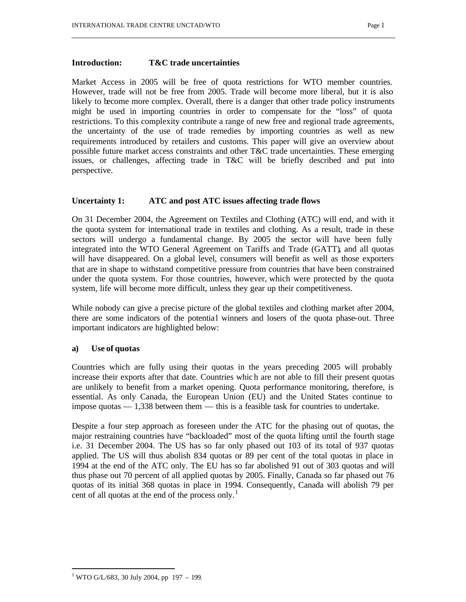# **Introduction: T&C trade uncertainties**

Market Access in 2005 will be free of quota restrictions for WTO member countries. However, trade will not be free from 2005. Trade will become more liberal, but it is also likely to become more complex. Overall, there is a danger that other trade policy instruments might be used in importing countries in order to compensate for the "loss" of quota restrictions. To this complexity contribute a range of new free and regional trade agreements, the uncertainty of the use of trade remedies by importing countries as well as new requirements introduced by retailers and customs. This paper will give an overview about possible future market access constraints and other T&C trade uncertainties. These emerging issues, or challenges, affecting trade in T&C will be briefly described and put into perspective.

# **Uncertainty 1: ATC and post ATC issues affecting trade flows**

On 31 December 2004, the Agreement on Textiles and Clothing (ATC) will end, and with it the quota system for international trade in textiles and clothing. As a result, trade in these sectors will undergo a fundamental change. By 2005 the sector will have been fully integrated into the WTO General Agreement on Tariffs and Trade (GATT), and all quotas will have disappeared. On a global level, consumers will benefit as well as those exporters that are in shape to withstand competitive pressure from countries that have been constrained under the quota system. For those countries, however, which were protected by the quota system, life will become more difficult, unless they gear up their competitiveness.

While nobody can give a precise picture of the global textiles and clothing market after 2004, there are some indicators of the potential winners and losers of the quota phase-out. Three important indicators are highlighted below:

## **a) Use of quotas**

Countries which are fully using their quotas in the years preceding 2005 will probably increase their exports after that date. Countries whic h are not able to fill their present quotas are unlikely to benefit from a market opening. Quota performance monitoring, therefore, is essential. As only Canada, the European Union (EU) and the United States continue to impose quotas — 1,338 between them — this is a feasible task for countries to undertake.

Despite a four step approach as foreseen under the ATC for the phasing out of quotas, the major restraining countries have "backloaded" most of the quota lifting until the fourth stage i.e. 31 December 2004. The US has so far only phased out 103 of its total of 937 quotas applied. The US will thus abolish 834 quotas or 89 per cent of the total quotas in place in 1994 at the end of the ATC only. The EU has so far abolished 91 out of 303 quotas and will thus phase out 70 percent of all applied quotas by 2005. Finally, Canada so far phased out 76 quotas of its initial 368 quotas in place in 1994. Consequently, Canada will abolish 79 per cent of all quotas at the end of the process only.<sup>1</sup>

<sup>&</sup>lt;sup>1</sup> WTO G/L/683, 30 July 2004, pp 197 – 199.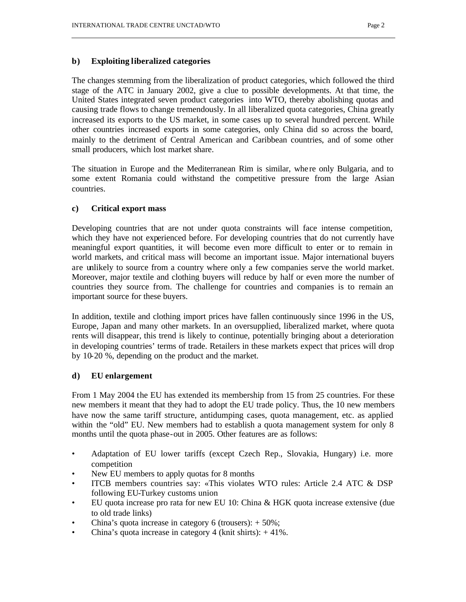# **b) Exploiting liberalized categories**

The changes stemming from the liberalization of product categories, which followed the third stage of the ATC in January 2002, give a clue to possible developments. At that time, the United States integrated seven product categories into WTO, thereby abolishing quotas and causing trade flows to change tremendously. In all liberalized quota categories, China greatly increased its exports to the US market, in some cases up to several hundred percent. While other countries increased exports in some categories, only China did so across the board, mainly to the detriment of Central American and Caribbean countries, and of some other small producers, which lost market share.

The situation in Europe and the Mediterranean Rim is similar, whe re only Bulgaria, and to some extent Romania could withstand the competitive pressure from the large Asian countries.

## **c) Critical export mass**

Developing countries that are not under quota constraints will face intense competition, which they have not experienced before. For developing countries that do not currently have meaningful export quantities, it will become even more difficult to enter or to remain in world markets, and critical mass will become an important issue. Major international buyers are unlikely to source from a country where only a few companies serve the world market. Moreover, major textile and clothing buyers will reduce by half or even more the number of countries they source from. The challenge for countries and companies is to remain an important source for these buyers.

In addition, textile and clothing import prices have fallen continuously since 1996 in the US, Europe, Japan and many other markets. In an oversupplied, liberalized market, where quota rents will disappear, this trend is likely to continue, potentially bringing about a deterioration in developing countries' terms of trade. Retailers in these markets expect that prices will drop by 10-20 %, depending on the product and the market.

# **d) EU enlargement**

From 1 May 2004 the EU has extended its membership from 15 from 25 countries. For these new members it meant that they had to adopt the EU trade policy. Thus, the 10 new members have now the same tariff structure, antidumping cases, quota management, etc. as applied within the "old" EU. New members had to establish a quota management system for only 8 months until the quota phase-out in 2005. Other features are as follows:

- Adaptation of EU lower tariffs (except Czech Rep., Slovakia, Hungary) i.e. more competition
- New EU members to apply quotas for 8 months
- ITCB members countries say: «This violates WTO rules: Article 2.4 ATC & DSP following EU-Turkey customs union
- EU quota increase pro rata for new EU 10: China & HGK quota increase extensive (due to old trade links)
- China's quota increase in category 6 (trousers):  $+50\%$ ;
- China's quota increase in category 4 (knit shirts):  $+41\%$ .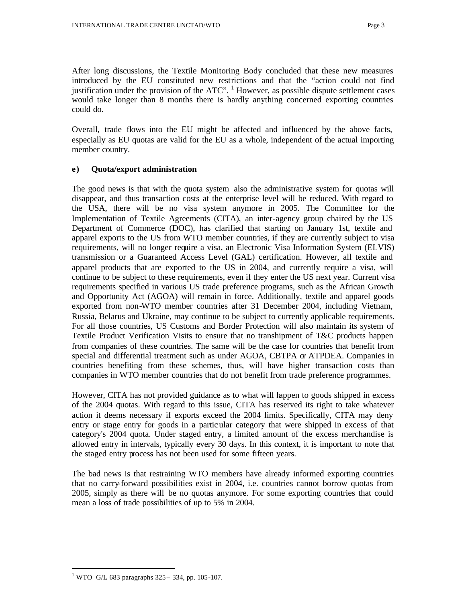After long discussions, the Textile Monitoring Body concluded that these new measures introduced by the EU constituted new restrictions and that the "action could not find justification under the provision of the ATC".  $\frac{1}{1}$  However, as possible dispute settlement cases would take longer than 8 months there is hardly anything concerned exporting countries could do.

Overall, trade flows into the EU might be affected and influenced by the above facts, especially as EU quotas are valid for the EU as a whole, independent of the actual importing member country.

# **e) Quota/export administration**

The good news is that with the quota system also the administrative system for quotas will disappear, and thus transaction costs at the enterprise level will be reduced. With regard to the USA, there will be no visa system anymore in 2005. The Committee for the Implementation of Textile Agreements (CITA), an inter-agency group chaired by the US Department of Commerce (DOC), has clarified that starting on January 1st, textile and apparel exports to the US from WTO member countries, if they are currently subject to visa requirements, will no longer require a visa, an Electronic Visa Information System (ELVIS) transmission or a Guaranteed Access Level (GAL) certification. However, all textile and apparel products that are exported to the US in 2004, and currently require a visa, will continue to be subject to these requirements, even if they enter the US next year. Current visa requirements specified in various US trade preference programs, such as the African Growth and Opportunity Act (AGOA) will remain in force. Additionally, textile and apparel goods exported from non-WTO member countries after 31 December 2004, including Vietnam, Russia, Belarus and Ukraine, may continue to be subject to currently applicable requirements. For all those countries, US Customs and Border Protection will also maintain its system of Textile Product Verification Visits to ensure that no transhipment of T&C products happen from companies of these countries. The same will be the case for countries that benefit from special and differential treatment such as under AGOA, CBTPA  $\alpha$  ATPDEA. Companies in countries benefiting from these schemes, thus, will have higher transaction costs than companies in WTO member countries that do not benefit from trade preference programmes.

However, CITA has not provided guidance as to what will happen to goods shipped in excess of the 2004 quotas. With regard to this issue, CITA has reserved its right to take whatever action it deems necessary if exports exceed the 2004 limits. Specifically, CITA may deny entry or stage entry for goods in a particular category that were shipped in excess of that category's 2004 quota. Under staged entry, a limited amount of the excess merchandise is allowed entry in intervals, typically every 30 days. In this context, it is important to note that the staged entry process has not been used for some fifteen years.

The bad news is that restraining WTO members have already informed exporting countries that no carry-forward possibilities exist in 2004, i.e. countries cannot borrow quotas from 2005, simply as there will be no quotas anymore. For some exporting countries that could mean a loss of trade possibilities of up to 5% in 2004.

<sup>&</sup>lt;sup>1</sup> WTO G/L 683 paragraphs  $325 - 334$ , pp. 105-107.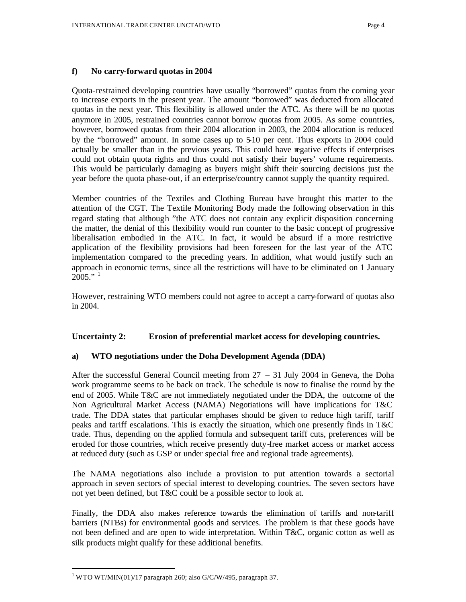# **f) No carry-forward quotas in 2004**

Quota-restrained developing countries have usually "borrowed" quotas from the coming year to increase exports in the present year. The amount "borrowed" was deducted from allocated quotas in the next year. This flexibility is allowed under the ATC. As there will be no quotas anymore in 2005, restrained countries cannot borrow quotas from 2005. As some countries, however, borrowed quotas from their 2004 allocation in 2003, the 2004 allocation is reduced by the "borrowed" amount. In some cases up to 5-10 per cent. Thus exports in 2004 could actually be smaller than in the previous years. This could have negative effects if enterprises could not obtain quota rights and thus could not satisfy their buyers' volume requirements. This would be particularly damaging as buyers might shift their sourcing decisions just the year before the quota phase-out, if an enterprise/country cannot supply the quantity required.

Member countries of the Textiles and Clothing Bureau have brought this matter to the attention of the CGT. The Textile Monitoring Body made the following observation in this regard stating that although "the ATC does not contain any explicit disposition concerning the matter, the denial of this flexibility would run counter to the basic concept of progressive liberalisation embodied in the ATC. In fact, it would be absurd if a more restrictive application of the flexibility provisions had been foreseen for the last year of the ATC implementation compared to the preceding years. In addition, what would justify such an approach in economic terms, since all the restrictions will have to be eliminated on 1 January  $2005."$ <sup>1</sup>

However, restraining WTO members could not agree to accept a carry-forward of quotas also in 2004.

# **Uncertainty 2: Erosion of preferential market access for developing countries.**

## **a) WTO negotiations under the Doha Development Agenda (DDA)**

After the successful General Council meeting from 27 – 31 July 2004 in Geneva, the Doha work programme seems to be back on track. The schedule is now to finalise the round by the end of 2005. While T&C are not immediately negotiated under the DDA, the outcome of the Non Agricultural Market Access (NAMA) Negotiations will have implications for T&C trade. The DDA states that particular emphases should be given to reduce high tariff, tariff peaks and tariff escalations. This is exactly the situation, which one presently finds in T&C trade. Thus, depending on the applied formula and subsequent tariff cuts, preferences will be eroded for those countries, which receive presently duty-free market access or market access at reduced duty (such as GSP or under special free and regional trade agreements).

The NAMA negotiations also include a provision to put attention towards a sectorial approach in seven sectors of special interest to developing countries. The seven sectors have not yet been defined, but T&C could be a possible sector to look at.

Finally, the DDA also makes reference towards the elimination of tariffs and non-tariff barriers (NTBs) for environmental goods and services. The problem is that these goods have not been defined and are open to wide interpretation. Within T&C, organic cotton as well as silk products might qualify for these additional benefits.

 $1$  WTO WT/MIN(01)/17 paragraph 260; also G/C/W/495, paragraph 37.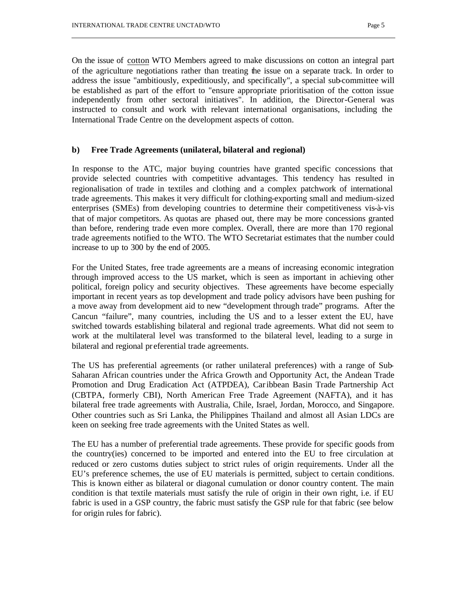On the issue of cotton WTO Members agreed to make discussions on cotton an integral part of the agriculture negotiations rather than treating the issue on a separate track. In order to address the issue "ambitiously, expeditiously, and specifically", a special sub-committee will be established as part of the effort to "ensure appropriate prioritisation of the cotton issue independently from other sectoral initiatives". In addition, the Director-General was instructed to consult and work with relevant international organisations, including the International Trade Centre on the development aspects of cotton.

## **b) Free Trade Agreements (unilateral, bilateral and regional)**

In response to the ATC, major buying countries have granted specific concessions that provide selected countries with competitive advantages. This tendency has resulted in regionalisation of trade in textiles and clothing and a complex patchwork of international trade agreements. This makes it very difficult for clothing-exporting small and medium-sized enterprises (SMEs) from developing countries to determine their competitiveness vis-à-vis that of major competitors. As quotas are phased out, there may be more concessions granted than before, rendering trade even more complex. Overall, there are more than 170 regional trade agreements notified to the WTO. The WTO Secretariat estimates that the number could increase to up to 300 by the end of 2005.

For the United States, free trade agreements are a means of increasing economic integration through improved access to the US market, which is seen as important in achieving other political, foreign policy and security objectives. These agreements have become especially important in recent years as top development and trade policy advisors have been pushing for a move away from development aid to new "development through trade" programs. After the Cancun "failure", many countries, including the US and to a lesser extent the EU, have switched towards establishing bilateral and regional trade agreements. What did not seem to work at the multilateral level was transformed to the bilateral level, leading to a surge in bilateral and regional pr eferential trade agreements.

The US has preferential agreements (or rather unilateral preferences) with a range of Sub-Saharan African countries under the Africa Growth and Opportunity Act, the Andean Trade Promotion and Drug Eradication Act (ATPDEA), Caribbean Basin Trade Partnership Act (CBTPA, formerly CBI), North American Free Trade Agreement (NAFTA), and it has bilateral free trade agreements with Australia, Chile, Israel, Jordan, Morocco, and Singapore. Other countries such as Sri Lanka, the Philippines Thailand and almost all Asian LDCs are keen on seeking free trade agreements with the United States as well.

The EU has a number of preferential trade agreements. These provide for specific goods from the country(ies) concerned to be imported and entered into the EU to free circulation at reduced or zero customs duties subject to strict rules of origin requirements. Under all the EU's preference schemes, the use of EU materials is permitted, subject to certain conditions. This is known either as bilateral or diagonal cumulation or donor country content. The main condition is that textile materials must satisfy the rule of origin in their own right, i.e. if EU fabric is used in a GSP country, the fabric must satisfy the GSP rule for that fabric (see below for origin rules for fabric).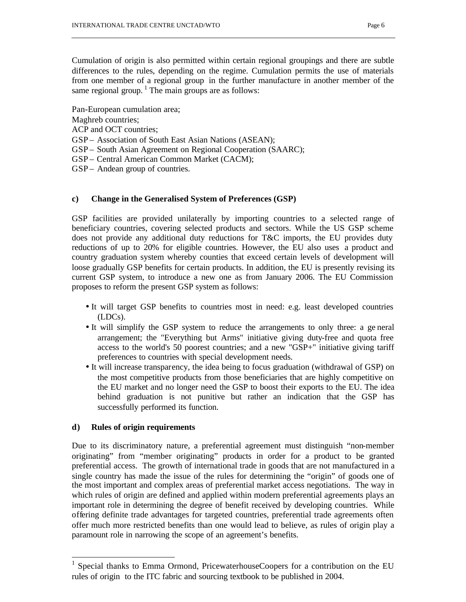Cumulation of origin is also permitted within certain regional groupings and there are subtle differences to the rules, depending on the regime. Cumulation permits the use of materials from one member of a regional group in the further manufacture in another member of the same regional group.<sup>1</sup> The main groups are as follows:

Pan-European cumulation area;

Maghreb countries;

- ACP and OCT countries;
- GSP Association of South East Asian Nations (ASEAN);
- GSP South Asian Agreement on Regional Cooperation (SAARC);
- GSP Central American Common Market (CACM);
- GSP Andean group of countries.

# **c) Change in the Generalised System of Preferences (GSP)**

GSP facilities are provided unilaterally by importing countries to a selected range of beneficiary countries, covering selected products and sectors. While the US GSP scheme does not provide any additional duty reductions for T&C imports, the EU provides duty reductions of up to 20% for eligible countries. However, the EU also uses a product and country graduation system whereby counties that exceed certain levels of development will loose gradually GSP benefits for certain products. In addition, the EU is presently revising its current GSP system, to introduce a new one as from January 2006. The EU Commission proposes to reform the present GSP system as follows:

- It will target GSP benefits to countries most in need: e.g. least developed countries (LDCs).
- It will simplify the GSP system to reduce the arrangements to only three: a ge neral arrangement; the "Everything but Arms" initiative giving duty-free and quota free access to the world's 50 poorest countries; and a new "GSP+" initiative giving tariff preferences to countries with special development needs.
- It will increase transparency, the idea being to focus graduation (withdrawal of GSP) on the most competitive products from those beneficiaries that are highly competitive on the EU market and no longer need the GSP to boost their exports to the EU. The idea behind graduation is not punitive but rather an indication that the GSP has successfully performed its function.

# **d) Rules of origin requirements**

Due to its discriminatory nature, a preferential agreement must distinguish "non-member originating" from "member originating" products in order for a product to be granted preferential access. The growth of international trade in goods that are not manufactured in a single country has made the issue of the rules for determining the "origin" of goods one of the most important and complex areas of preferential market access negotiations. The way in which rules of origin are defined and applied within modern preferential agreements plays an important role in determining the degree of benefit received by developing countries. While offering definite trade advantages for targeted countries, preferential trade agreements often offer much more restricted benefits than one would lead to believe, as rules of origin play a paramount role in narrowing the scope of an agreement's benefits.

<sup>&</sup>lt;sup>1</sup> Special thanks to Emma Ormond, PricewaterhouseCoopers for a contribution on the EU rules of origin to the ITC fabric and sourcing textbook to be published in 2004.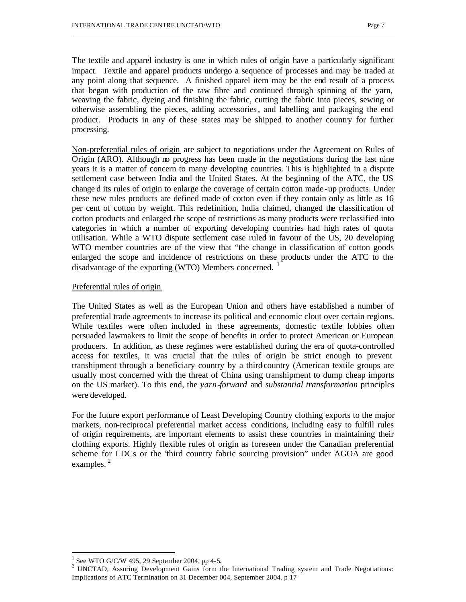The textile and apparel industry is one in which rules of origin have a particularly significant impact. Textile and apparel products undergo a sequence of processes and may be traded at any point along that sequence. A finished apparel item may be the end result of a process that began with production of the raw fibre and continued through spinning of the yarn, weaving the fabric, dyeing and finishing the fabric, cutting the fabric into pieces, sewing or otherwise assembling the pieces, adding accessories, and labelling and packaging the end product. Products in any of these states may be shipped to another country for further processing.

Non-preferential rules of origin are subject to negotiations under the Agreement on Rules of Origin (ARO). Although no progress has been made in the negotiations during the last nine years it is a matter of concern to many developing countries. This is highlighted in a dispute settlement case between India and the United States. At the beginning of the ATC, the US change d its rules of origin to enlarge the coverage of certain cotton made -up products. Under these new rules products are defined made of cotton even if they contain only as little as 16 per cent of cotton by weight. This redefinition, India claimed, changed the classification of cotton products and enlarged the scope of restrictions as many products were reclassified into categories in which a number of exporting developing countries had high rates of quota utilisation. While a WTO dispute settlement case ruled in favour of the US, 20 developing WTO member countries are of the view that "the change in classification of cotton goods enlarged the scope and incidence of restrictions on these products under the ATC to the disadvantage of the exporting (WTO) Members concerned. <sup>1</sup>

## Preferential rules of origin

The United States as well as the European Union and others have established a number of preferential trade agreements to increase its political and economic clout over certain regions. While textiles were often included in these agreements, domestic textile lobbies often persuaded lawmakers to limit the scope of benefits in order to protect American or European producers. In addition, as these regimes were established during the era of quota-controlled access for textiles, it was crucial that the rules of origin be strict enough to prevent transhipment through a beneficiary country by a third-country (American textile groups are usually most concerned with the threat of China using transhipment to dump cheap imports on the US market). To this end, the *yarn-forward* and *substantial transformation* principles were developed.

For the future export performance of Least Developing Country clothing exports to the major markets, non-reciprocal preferential market access conditions, including easy to fulfill rules of origin requirements, are important elements to assist these countries in maintaining their clothing exports. Highly flexible rules of origin as foreseen under the Canadian preferential scheme for LDCs or the "third country fabric sourcing provision" under AGOA are good examples. $^{2}$ 

<sup>1</sup> See WTO G/C/W 495, 29 September 2004, pp 4-5.

<sup>&</sup>lt;sup>2</sup> UNCTAD, Assuring Development Gains form the International Trading system and Trade Negotiations: Implications of ATC Termination on 31 December 004, September 2004. p 17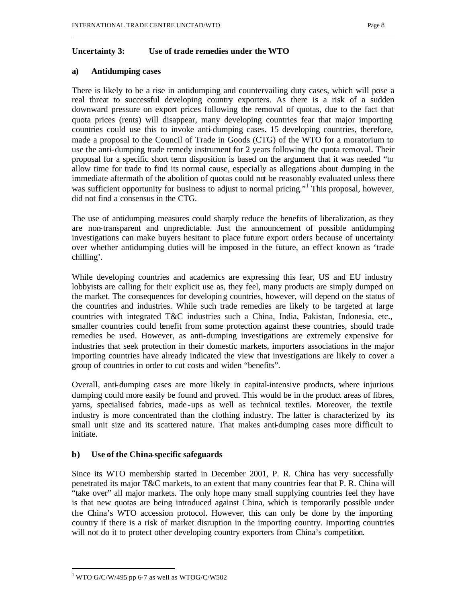# **Uncertainty 3: Use of trade remedies under the WTO**

# **a) Antidumping cases**

There is likely to be a rise in antidumping and countervailing duty cases, which will pose a real threat to successful developing country exporters. As there is a risk of a sudden downward pressure on export prices following the removal of quotas, due to the fact that quota prices (rents) will disappear, many developing countries fear that major importing countries could use this to invoke anti-dumping cases. 15 developing countries, therefore, made a proposal to the Council of Trade in Goods (CTG) of the WTO for a moratorium to use the anti-dumping trade remedy instrument for 2 years following the quota removal. Their proposal for a specific short term disposition is based on the argument that it was needed "to allow time for trade to find its normal cause, especially as allegations about dumping in the immediate aftermath of the abolition of quotas could not be reasonably evaluated unless there was sufficient opportunity for business to adjust to normal pricing."<sup>1</sup> This proposal, however, did not find a consensus in the CTG.

The use of antidumping measures could sharply reduce the benefits of liberalization, as they are non-transparent and unpredictable. Just the announcement of possible antidumping investigations can make buyers hesitant to place future export orders because of uncertainty over whether antidumping duties will be imposed in the future, an effect known as 'trade chilling'.

While developing countries and academics are expressing this fear, US and EU industry lobbyists are calling for their explicit use as, they feel, many products are simply dumped on the market. The consequences for developing countries, however, will depend on the status of the countries and industries. While such trade remedies are likely to be targeted at large countries with integrated T&C industries such a China, India, Pakistan, Indonesia, etc., smaller countries could benefit from some protection against these countries, should trade remedies be used. However, as anti-dumping investigations are extremely expensive for industries that seek protection in their domestic markets, importers associations in the major importing countries have already indicated the view that investigations are likely to cover a group of countries in order to cut costs and widen "benefits".

Overall, anti-dumping cases are more likely in capital-intensive products, where injurious dumping could more easily be found and proved. This would be in the product areas of fibres, yarns, specialised fabrics, made -ups as well as technical textiles. Moreover, the textile industry is more concentrated than the clothing industry. The latter is characterized by its small unit size and its scattered nature. That makes anti-dumping cases more difficult to initiate.

# **b) Use of the China-specific safeguards**

Since its WTO membership started in December 2001, P. R. China has very successfully penetrated its major T&C markets, to an extent that many countries fear that P. R. China will "take over" all major markets. The only hope many small supplying countries feel they have is that new quotas are being introduced against China, which is temporarily possible under the China's WTO accession protocol. However, this can only be done by the importing country if there is a risk of market disruption in the importing country. Importing countries will not do it to protect other developing country exporters from China's competition.

 $1$  WTO G/C/W/495 pp 6-7 as well as WTOG/C/W502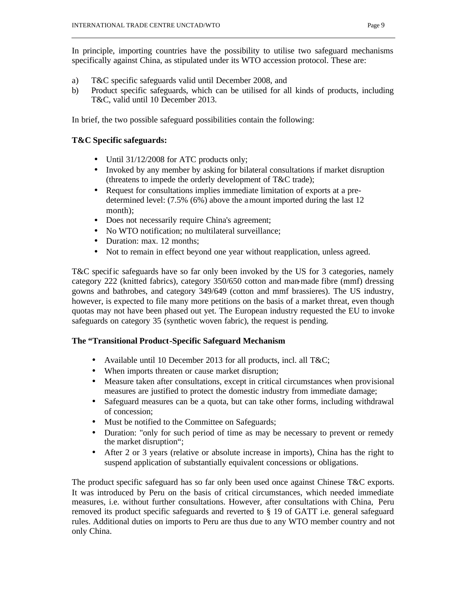In principle, importing countries have the possibility to utilise two safeguard mechanisms specifically against China, as stipulated under its WTO accession protocol. These are:

- a) T&C specific safeguards valid until December 2008, and
- b) Product specific safeguards, which can be utilised for all kinds of products, including T&C, valid until 10 December 2013.

In brief, the two possible safeguard possibilities contain the following:

# **T&C Specific safeguards:**

- Until 31/12/2008 for ATC products only;
- Invoked by any member by asking for bilateral consultations if market disruption (threatens to impede the orderly development of T&C trade);
- Request for consultations implies immediate limitation of exports at a predetermined level: (7.5% (6%) above the amount imported during the last 12 month);
- Does not necessarily require China's agreement;
- No WTO notification; no multilateral surveillance;
- Duration: max. 12 months;
- Not to remain in effect beyond one year without reapplication, unless agreed.

T&C specific safeguards have so far only been invoked by the US for 3 categories, namely category 222 (knitted fabrics), category 350/650 cotton and man-made fibre (mmf) dressing gowns and bathrobes, and category 349/649 (cotton and mmf brassieres). The US industry, however, is expected to file many more petitions on the basis of a market threat, even though quotas may not have been phased out yet. The European industry requested the EU to invoke safeguards on category 35 (synthetic woven fabric), the request is pending.

# **The "Transitional Product-Specific Safeguard Mechanism**

- Available until 10 December 2013 for all products, incl. all T&C;
- When imports threaten or cause market disruption;
- Measure taken after consultations, except in critical circumstances when provisional measures are justified to protect the domestic industry from immediate damage;
- Safeguard measures can be a quota, but can take other forms, including withdrawal of concession;
- Must be notified to the Committee on Safeguards;
- Duration: "only for such period of time as may be necessary to prevent or remedy the market disruption";
- After 2 or 3 years (relative or absolute increase in imports), China has the right to suspend application of substantially equivalent concessions or obligations.

The product specific safeguard has so far only been used once against Chinese T&C exports. It was introduced by Peru on the basis of critical circumstances, which needed immediate measures, i.e. without further consultations. However, after consultations with China, Peru removed its product specific safeguards and reverted to § 19 of GATT i.e. general safeguard rules. Additional duties on imports to Peru are thus due to any WTO member country and not only China.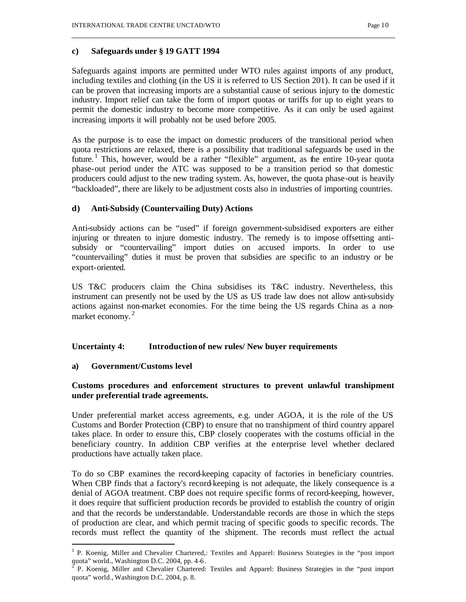# **c) Safeguards under § 19 GATT 1994**

Safeguards against imports are permitted under WTO rules against imports of any product, including textiles and clothing (in the US it is referred to US Section 201). It can be used if it can be proven that increasing imports are a substantial cause of serious injury to the domestic industry. Import relief can take the form of import quotas or tariffs for up to eight years to permit the domestic industry to become more competitive. As it can only be used against increasing imports it will probably not be used before 2005.

As the purpose is to ease the impact on domestic producers of the transitional period when quota restrictions are relaxed, there is a possibility that traditional safeguards be used in the future.<sup>1</sup> This, however, would be a rather "flexible" argument, as the entire 10-year quota phase-out period under the ATC was supposed to be a transition period so that domestic producers could adjust to the new trading system. As, however, the quota phase-out is heavily "backloaded", there are likely to be adjustment costs also in industries of importing countries.

# **d) Anti-Subsidy (Countervailing Duty) Actions**

Anti-subsidy actions can be "used" if foreign government-subsidised exporters are either injuring or threaten to injure domestic industry. The remedy is to impose offsetting antisubsidy or "countervailing" import duties on accused imports. In order to use "countervailing" duties it must be proven that subsidies are specific to an industry or be export-oriented.

US T&C producers claim the China subsidises its T&C industry. Nevertheless, this instrument can presently not be used by the US as US trade law does not allow anti-subsidy actions against non-market economies. For the time being the US regards China as a nonmarket economy.<sup>2</sup>

# **Uncertainty 4: Introduction of new rules/ New buyer requirements**

# **a) Government/Customs level**

 $\overline{\phantom{a}}$ 

# **Customs procedures and enforcement structures to prevent unlawful transhipment under preferential trade agreements.**

Under preferential market access agreements, e.g. under AGOA, it is the role of the US Customs and Border Protection (CBP) to ensure that no transhipment of third country apparel takes place. In order to ensure this, CBP closely cooperates with the costums official in the beneficiary country. In addition CBP verifies at the enterprise level whether declared productions have actually taken place.

To do so CBP examines the record-keeping capacity of factories in beneficiary countries. When CBP finds that a factory's record-keeping is not adequate, the likely consequence is a denial of AGOA treatment. CBP does not require specific forms of record-keeping, however, it does require that sufficient production records be provided to establish the country of origin and that the records be understandable. Understandable records are those in which the steps of production are clear, and which permit tracing of specific goods to specific records. The records must reflect the quantity of the shipment. The records must reflect the actual

<sup>1</sup> P. Koenig, Miller and Chevalier Chartered,: Textiles and Apparel: Business Strategies in the "post import quota" world., Washington D.C. 2004, pp. 4-6.

P. Koenig, Miller and Chevalier Chartered: Textiles and Apparel: Business Strategies in the "post import quota" world., Washington D.C. 2004, p. 8.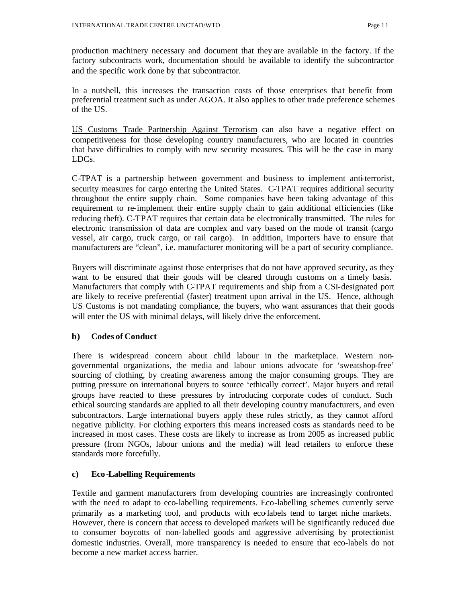production machinery necessary and document that they are available in the factory. If the factory subcontracts work, documentation should be available to identify the subcontractor and the specific work done by that subcontractor.

In a nutshell, this increases the transaction costs of those enterprises that benefit from preferential treatment such as under AGOA. It also applies to other trade preference schemes of the US.

US Customs Trade Partnership Against Terrorism can also have a negative effect on competitiveness for those developing country manufacturers, who are located in countries that have difficulties to comply with new security measures. This will be the case in many LDCs.

C-TPAT is a partnership between government and business to implement anti-terrorist, security measures for cargo entering the United States. C-TPAT requires additional security throughout the entire supply chain. Some companies have been taking advantage of this requirement to re-implement their entire supply chain to gain additional efficiencies (like reducing theft). C-TPAT requires that certain data be electronically transmitted. The rules for electronic transmission of data are complex and vary based on the mode of transit (cargo vessel, air cargo, truck cargo, or rail cargo). In addition, importers have to ensure that manufacturers are "clean", i.e. manufacturer monitoring will be a part of security compliance.

Buyers will discriminate against those enterprises that do not have approved security, as they want to be ensured that their goods will be cleared through customs on a timely basis. Manufacturers that comply with C-TPAT requirements and ship from a CSI-designated port are likely to receive preferential (faster) treatment upon arrival in the US. Hence, although US Customs is not mandating compliance, the buyers, who want assurances that their goods will enter the US with minimal delays, will likely drive the enforcement.

# **b) Codes of Conduct**

There is widespread concern about child labour in the marketplace. Western nongovernmental organizations, the media and labour unions advocate for 'sweatshop-free' sourcing of clothing, by creating awareness among the major consuming groups. They are putting pressure on international buyers to source 'ethically correct'. Major buyers and retail groups have reacted to these pressures by introducing corporate codes of conduct. Such ethical sourcing standards are applied to all their developing country manufacturers, and even subcontractors. Large international buyers apply these rules strictly, as they cannot afford negative publicity. For clothing exporters this means increased costs as standards need to be increased in most cases. These costs are likely to increase as from 2005 as increased public pressure (from NGOs, labour unions and the media) will lead retailers to enforce these standards more forcefully.

# **c) Eco -Labelling Requirements**

Textile and garment manufacturers from developing countries are increasingly confronted with the need to adapt to eco-labelling requirements. Eco-labelling schemes currently serve primarily as a marketing tool, and products with eco-labels tend to target niche markets. However, there is concern that access to developed markets will be significantly reduced due to consumer boycotts of non-labelled goods and aggressive advertising by protectionist domestic industries. Overall, more transparency is needed to ensure that eco-labels do not become a new market access barrier.